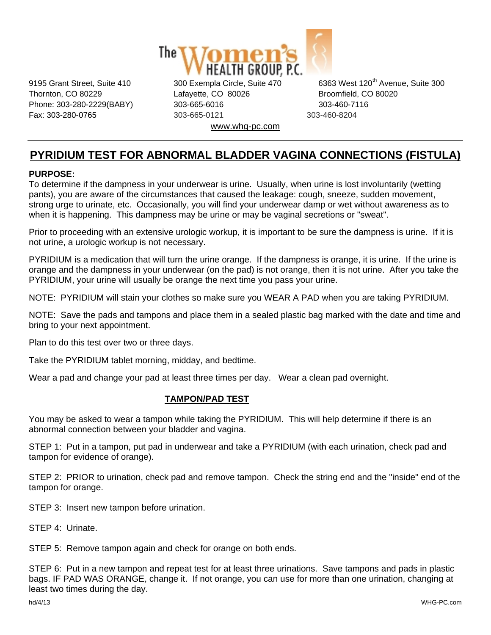

Thornton, CO 80229 Lafayette, CO 80026 Broomfield, CO 80020 Phone: 303-280-2229(BABY) 303-665-6016 303-460-7116 Fax: 303-280-0765 303-665-0121 303-460-8204 www.whg-pc.com

9195 Grant Street, Suite 410 300 Exempla Circle, Suite 470 6363 West 120<sup>th</sup> Avenue, Suite 300

## **PYRIDIUM TEST FOR ABNORMAL BLADDER VAGINA CONNECTIONS (FISTULA)**

## **PURPOSE:**

To determine if the dampness in your underwear is urine. Usually, when urine is lost involuntarily (wetting pants), you are aware of the circumstances that caused the leakage: cough, sneeze, sudden movement, strong urge to urinate, etc. Occasionally, you will find your underwear damp or wet without awareness as to when it is happening. This dampness may be urine or may be vaginal secretions or "sweat".

Prior to proceeding with an extensive urologic workup, it is important to be sure the dampness is urine. If it is not urine, a urologic workup is not necessary.

PYRIDIUM is a medication that will turn the urine orange. If the dampness is orange, it is urine. If the urine is orange and the dampness in your underwear (on the pad) is not orange, then it is not urine. After you take the PYRIDIUM, your urine will usually be orange the next time you pass your urine.

NOTE: PYRIDIUM will stain your clothes so make sure you WEAR A PAD when you are taking PYRIDIUM.

NOTE: Save the pads and tampons and place them in a sealed plastic bag marked with the date and time and bring to your next appointment.

Plan to do this test over two or three days.

Take the PYRIDIUM tablet morning, midday, and bedtime.

Wear a pad and change your pad at least three times per day. Wear a clean pad overnight.

## **TAMPON/PAD TEST**

You may be asked to wear a tampon while taking the PYRIDIUM. This will help determine if there is an abnormal connection between your bladder and vagina.

STEP 1: Put in a tampon, put pad in underwear and take a PYRIDIUM (with each urination, check pad and tampon for evidence of orange).

STEP 2: PRIOR to urination, check pad and remove tampon. Check the string end and the "inside" end of the tampon for orange.

STEP 3: Insert new tampon before urination.

STEP 4: Urinate.

STEP 5: Remove tampon again and check for orange on both ends.

STEP 6: Put in a new tampon and repeat test for at least three urinations. Save tampons and pads in plastic bags. IF PAD WAS ORANGE, change it. If not orange, you can use for more than one urination, changing at least two times during the day.